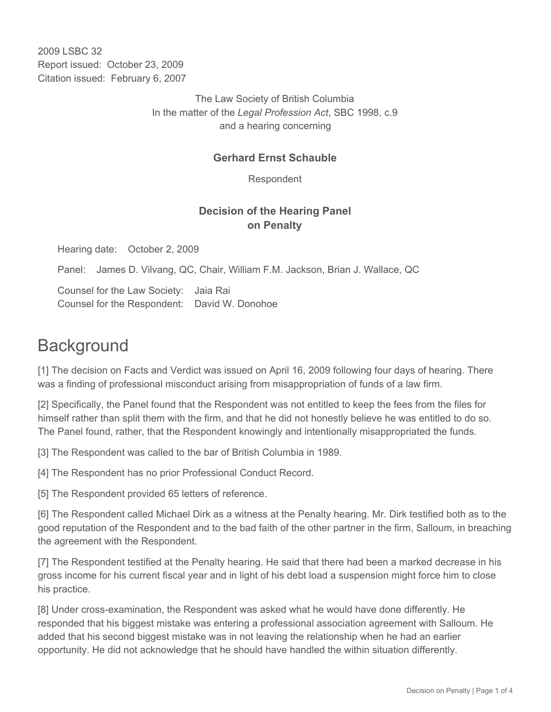2009 LSBC 32 Report issued: October 23, 2009 Citation issued: February 6, 2007

> The Law Society of British Columbia In the matter of the *Legal Profession Act*, SBC 1998, c.9 and a hearing concerning

#### **Gerhard Ernst Schauble**

Respondent

#### **Decision of the Hearing Panel on Penalty**

Hearing date: October 2, 2009

Panel: James D. Vilvang, QC, Chair, William F.M. Jackson, Brian J. Wallace, QC

Counsel for the Law Society: Jaia Rai Counsel for the Respondent: David W. Donohoe

## **Background**

[1] The decision on Facts and Verdict was issued on April 16, 2009 following four days of hearing. There was a finding of professional misconduct arising from misappropriation of funds of a law firm.

[2] Specifically, the Panel found that the Respondent was not entitled to keep the fees from the files for himself rather than split them with the firm, and that he did not honestly believe he was entitled to do so. The Panel found, rather, that the Respondent knowingly and intentionally misappropriated the funds.

[3] The Respondent was called to the bar of British Columbia in 1989.

[4] The Respondent has no prior Professional Conduct Record.

[5] The Respondent provided 65 letters of reference.

[6] The Respondent called Michael Dirk as a witness at the Penalty hearing. Mr. Dirk testified both as to the good reputation of the Respondent and to the bad faith of the other partner in the firm, Salloum, in breaching the agreement with the Respondent.

[7] The Respondent testified at the Penalty hearing. He said that there had been a marked decrease in his gross income for his current fiscal year and in light of his debt load a suspension might force him to close his practice.

[8] Under cross-examination, the Respondent was asked what he would have done differently. He responded that his biggest mistake was entering a professional association agreement with Salloum. He added that his second biggest mistake was in not leaving the relationship when he had an earlier opportunity. He did not acknowledge that he should have handled the within situation differently.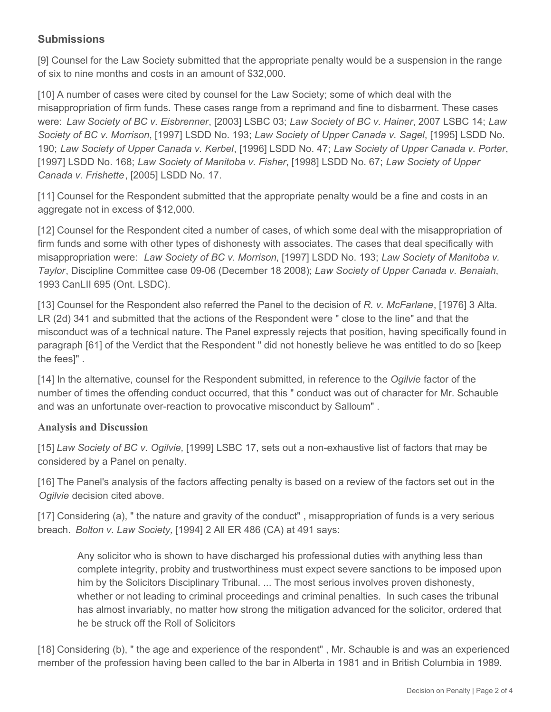#### **Submissions**

[9] Counsel for the Law Society submitted that the appropriate penalty would be a suspension in the range of six to nine months and costs in an amount of \$32,000.

[10] A number of cases were cited by counsel for the Law Society; some of which deal with the misappropriation of firm funds. These cases range from a reprimand and fine to disbarment. These cases were: *Law Society of BC v. Eisbrenner*, [2003] LSBC 03; *Law Society of BC v. Hainer*, 2007 LSBC 14; *Law Society of BC v. Morrison*, [1997] LSDD No. 193; *Law Society of Upper Canada v. Sagel*, [1995] LSDD No. 190; *Law Society of Upper Canada v. Kerbel*, [1996] LSDD No. 47; *Law Society of Upper Canada v. Porter*, [1997] LSDD No. 168; *Law Society of Manitoba v. Fisher*, [1998] LSDD No. 67; *Law Society of Upper Canada v. Frishette*, [2005] LSDD No. 17.

[11] Counsel for the Respondent submitted that the appropriate penalty would be a fine and costs in an aggregate not in excess of \$12,000.

[12] Counsel for the Respondent cited a number of cases, of which some deal with the misappropriation of firm funds and some with other types of dishonesty with associates. The cases that deal specifically with misappropriation were: *Law Society of BC v. Morrison*, [1997] LSDD No. 193; *Law Society of Manitoba v. Taylor*, Discipline Committee case 09-06 (December 18 2008); *Law Society of Upper Canada v. Benaiah*, 1993 CanLII 695 (Ont. LSDC).

[13] Counsel for the Respondent also referred the Panel to the decision of *R. v. McFarlane*, [1976] 3 Alta. LR (2d) 341 and submitted that the actions of the Respondent were " close to the line" and that the misconduct was of a technical nature. The Panel expressly rejects that position, having specifically found in paragraph [61] of the Verdict that the Respondent " did not honestly believe he was entitled to do so [keep the fees]" .

[14] In the alternative, counsel for the Respondent submitted, in reference to the *Ogilvie* factor of the number of times the offending conduct occurred, that this " conduct was out of character for Mr. Schauble and was an unfortunate over-reaction to provocative misconduct by Salloum" .

#### **Analysis and Discussion**

[15] *Law Society of BC v. Ogilvie,* [1999] LSBC 17, sets out a non-exhaustive list of factors that may be considered by a Panel on penalty.

[16] The Panel's analysis of the factors affecting penalty is based on a review of the factors set out in the *Ogilvie* decision cited above.

[17] Considering (a), " the nature and gravity of the conduct" , misappropriation of funds is a very serious breach. *Bolton v. Law Society,* [1994] 2 All ER 486 (CA) at 491 says:

Any solicitor who is shown to have discharged his professional duties with anything less than complete integrity, probity and trustworthiness must expect severe sanctions to be imposed upon him by the Solicitors Disciplinary Tribunal. ... The most serious involves proven dishonesty, whether or not leading to criminal proceedings and criminal penalties. In such cases the tribunal has almost invariably, no matter how strong the mitigation advanced for the solicitor, ordered that he be struck off the Roll of Solicitors

[18] Considering (b), " the age and experience of the respondent" , Mr. Schauble is and was an experienced member of the profession having been called to the bar in Alberta in 1981 and in British Columbia in 1989.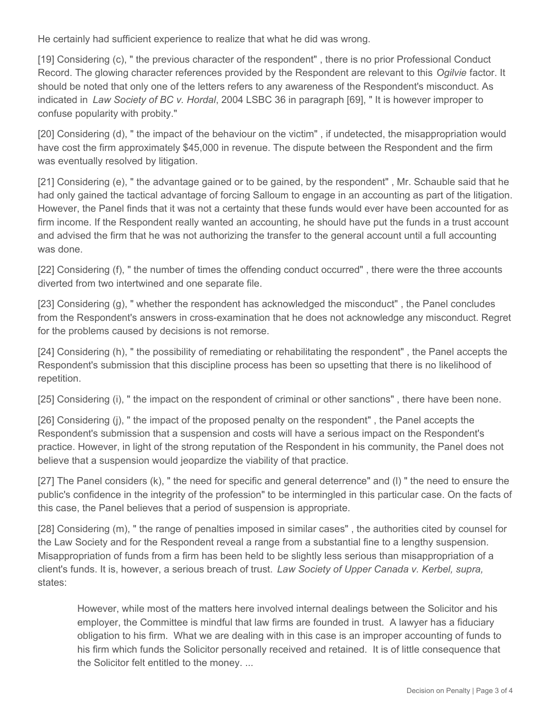He certainly had sufficient experience to realize that what he did was wrong.

[19] Considering (c), " the previous character of the respondent" , there is no prior Professional Conduct Record. The glowing character references provided by the Respondent are relevant to this *Ogilvie* factor. It should be noted that only one of the letters refers to any awareness of the Respondent's misconduct. As indicated in *Law Society of BC v. Hordal*, 2004 LSBC 36 in paragraph [69], " It is however improper to confuse popularity with probity."

[20] Considering (d), " the impact of the behaviour on the victim" , if undetected, the misappropriation would have cost the firm approximately \$45,000 in revenue. The dispute between the Respondent and the firm was eventually resolved by litigation.

[21] Considering (e), " the advantage gained or to be gained, by the respondent" , Mr. Schauble said that he had only gained the tactical advantage of forcing Salloum to engage in an accounting as part of the litigation. However, the Panel finds that it was not a certainty that these funds would ever have been accounted for as firm income. If the Respondent really wanted an accounting, he should have put the funds in a trust account and advised the firm that he was not authorizing the transfer to the general account until a full accounting was done.

[22] Considering (f), " the number of times the offending conduct occurred" , there were the three accounts diverted from two intertwined and one separate file.

[23] Considering (g), " whether the respondent has acknowledged the misconduct" , the Panel concludes from the Respondent's answers in cross-examination that he does not acknowledge any misconduct. Regret for the problems caused by decisions is not remorse.

[24] Considering (h), " the possibility of remediating or rehabilitating the respondent" , the Panel accepts the Respondent's submission that this discipline process has been so upsetting that there is no likelihood of repetition.

[25] Considering (i), " the impact on the respondent of criminal or other sanctions" , there have been none.

[26] Considering (j), " the impact of the proposed penalty on the respondent", the Panel accepts the Respondent's submission that a suspension and costs will have a serious impact on the Respondent's practice. However, in light of the strong reputation of the Respondent in his community, the Panel does not believe that a suspension would jeopardize the viability of that practice.

[27] The Panel considers (k), " the need for specific and general deterrence" and (l) " the need to ensure the public's confidence in the integrity of the profession" to be intermingled in this particular case. On the facts of this case, the Panel believes that a period of suspension is appropriate.

[28] Considering (m), " the range of penalties imposed in similar cases" , the authorities cited by counsel for the Law Society and for the Respondent reveal a range from a substantial fine to a lengthy suspension. Misappropriation of funds from a firm has been held to be slightly less serious than misappropriation of a client's funds. It is, however, a serious breach of trust. *Law Society of Upper Canada v. Kerbel, supra,* states:

However, while most of the matters here involved internal dealings between the Solicitor and his employer, the Committee is mindful that law firms are founded in trust. A lawyer has a fiduciary obligation to his firm. What we are dealing with in this case is an improper accounting of funds to his firm which funds the Solicitor personally received and retained. It is of little consequence that the Solicitor felt entitled to the money. ...